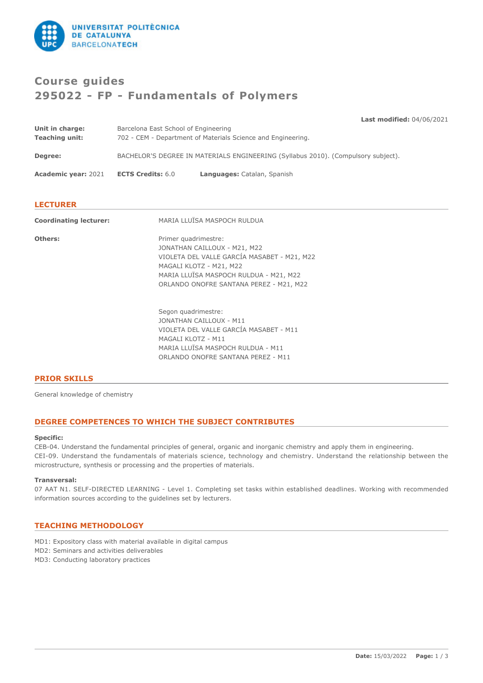

# **Course guides 295022 - FP - Fundamentals of Polymers**

| Unit in charge:<br><b>Teaching unit:</b> | Barcelona East School of Engineering                                              | <b>Last modified: 04/06/2021</b><br>702 - CEM - Department of Materials Science and Engineering. |
|------------------------------------------|-----------------------------------------------------------------------------------|--------------------------------------------------------------------------------------------------|
| Degree:                                  | BACHELOR'S DEGREE IN MATERIALS ENGINEERING (Syllabus 2010). (Compulsory subject). |                                                                                                  |
| <b>Academic year: 2021</b>               | <b>ECTS Credits: 6.0</b>                                                          | Languages: Catalan, Spanish                                                                      |
|                                          |                                                                                   |                                                                                                  |

# **LECTURER**

| <b>Coordinating lecturer:</b> | MARIA LLUÏSA MASPOCH RULDUA                                                                                                                                                                                         |
|-------------------------------|---------------------------------------------------------------------------------------------------------------------------------------------------------------------------------------------------------------------|
| Others:                       | Primer quadrimestre:<br>JONATHAN CAILLOUX - M21, M22<br>VIOLETA DEL VALLE GARCÍA MASABET - M21, M22<br>MAGALI KLOTZ - M21, M22<br>MARIA LLUÏSA MASPOCH RULDUA - M21, M22<br>ORLANDO ONOFRE SANTANA PEREZ - M21, M22 |
|                               | Segon quadrimestre:<br>JONATHAN CAILLOUX - M11<br>VIOLETA DEL VALLE GARCÍA MASABET - M11<br>MAGALI KLOTZ - M11<br>MARIA LLUÏSA MASPOCH RULDUA - M11<br>ORLANDO ONOFRE SANTANA PEREZ - M11                           |

# **PRIOR SKILLS**

General knowledge of chemistry

# **DEGREE COMPETENCES TO WHICH THE SUBJECT CONTRIBUTES**

#### **Specific:**

CEB-04. Understand the fundamental principles of general, organic and inorganic chemistry and apply them in engineering. CEI-09. Understand the fundamentals of materials science, technology and chemistry. Understand the relationship between the microstructure, synthesis or processing and the properties of materials.

#### **Transversal:**

07 AAT N1. SELF-DIRECTED LEARNING - Level 1. Completing set tasks within established deadlines. Working with recommended information sources according to the guidelines set by lecturers.

### **TEACHING METHODOLOGY**

- MD1: Expository class with material available in digital campus
- MD2: Seminars and activities deliverables
- MD3: Conducting laboratory practices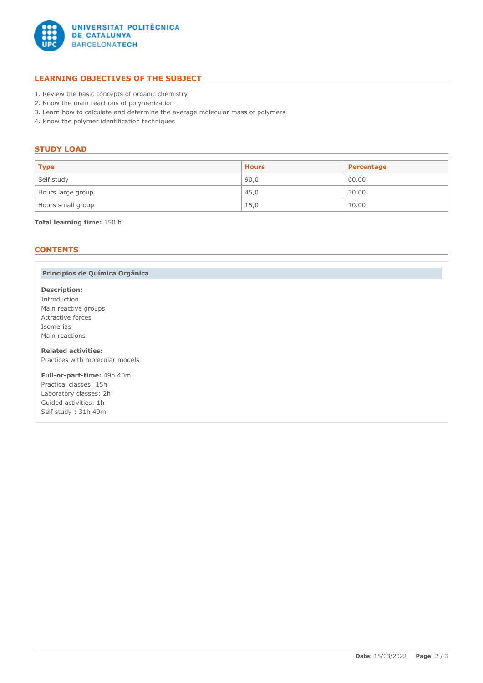

# **LEARNING OBJECTIVES OF THE SUBJECT**

- 1. Review the basic concepts of organic chemistry
- 2. Know the main reactions of polymerization
- 3. Learn how to calculate and determine the average molecular mass of polymers
- 4. Know the polymer identification techniques

## **STUDY LOAD**

| <b>Type</b>       | <b>Hours</b> | Percentage |
|-------------------|--------------|------------|
| Self study        | 90,0         | 60.00      |
| Hours large group | 45,0         | 30.00      |
| Hours small group | 15,0         | 10.00      |

#### **Total learning time:** 150 h

# **CONTENTS**

## **Principios de Química Orgánica**

# **Description:**

Introduction Main reactive groups Attractive forces Isomerías Main reactions

**Related activities:** Practices with molecular models

**Full-or-part-time:** 49h 40m Practical classes: 15h Laboratory classes: 2h Guided activities: 1h Self study : 31h 40m